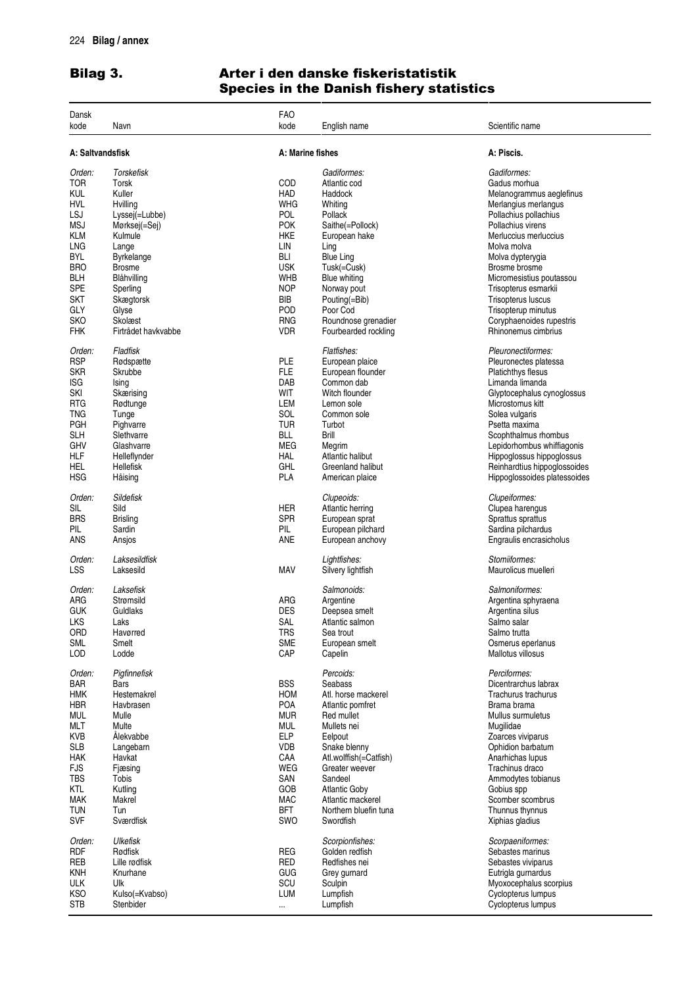## Bilag 3. Ar ter i den danske fiskeristatistik Species in the Danish fishery statistics

| Dansk                |                     | <b>FAO</b>       |                                   |                                      |
|----------------------|---------------------|------------------|-----------------------------------|--------------------------------------|
| kode                 | Navn                | kode             | English name                      | Scientific name                      |
| A: Saltvandsfisk     |                     | A: Marine fishes |                                   | A: Piscis.                           |
| Orden:               | Torskefisk          |                  | Gadiformes:                       | Gadiformes:                          |
|                      |                     |                  |                                   |                                      |
| TOR                  | Torsk               | COD              | Atlantic cod                      | Gadus morhua                         |
| KUL                  | Kuller              | HAD              | Haddock                           | Melanogrammus aeglefinus             |
| hvl                  | Hvilling            | <b>WHG</b>       | Whiting                           | Merlangius merlangus                 |
| LSJ                  | Lyssej(=Lubbe)      | POL              | Pollack                           | Pollachius pollachius                |
| MSJ                  | Mørksej(=Sej)       | <b>POK</b>       | Saithe(=Pollock)                  | Pollachius virens                    |
| KLM                  | Kulmule             | <b>HKE</b>       | European hake                     | Merluccius merluccius                |
|                      |                     |                  |                                   |                                      |
| LNG                  | Lange               | LIN              | Ling                              | Molva molva                          |
| BYL                  | <b>Byrkelange</b>   | <b>BLI</b>       | <b>Blue Ling</b>                  | Molva dypterygia                     |
| <b>BRO</b>           | <b>Brosme</b>       | <b>USK</b>       | Tusk(=Cusk)                       | Brosme brosme                        |
| BLH                  | Blåhvilling         | WHB              | <b>Blue whiting</b>               | Micromesistius poutassou             |
| <b>SPE</b>           | Sperling            | <b>NOP</b>       | Norway pout                       | Trisopterus esmarkii                 |
| <b>SKT</b>           | Skægtorsk           | BIB              | Pouting(=Bib)                     | Trisopterus luscus                   |
| GLY                  | Glyse               | POD              | Poor Cod                          | Trisopterup minutus                  |
|                      |                     |                  |                                   |                                      |
| <b>SKO</b>           | Skolæst             | <b>RNG</b>       | Roundnose grenadier               | Coryphaenoides rupestris             |
| FHK                  | Firtrådet havkvabbe | <b>VDR</b>       | Fourbearded rockling              | Rhinonemus cimbrius                  |
| Orden:               | Fladfisk            |                  | Flatfishes:                       | Pleuronectiformes:                   |
| <b>RSP</b>           | Rødspætte           | PLE              | European plaice                   | Pleuronectes platessa                |
| skr                  | Skrubbe             | <b>FLE</b>       | European flounder                 | <b>Platichthys flesus</b>            |
|                      |                     |                  |                                   |                                      |
| ISG                  | Ising               | DAB              | Common dab                        | Limanda limanda                      |
| SKI                  | Skærising           | WIT              | Witch flounder                    | Glyptocephalus cynoglossus           |
| <b>RTG</b>           | Rødtunge            | LEM              | Lemon sole                        | Microstomus kitt                     |
| TNG                  | Tunge               | SOL              | Common sole                       | Solea vulgaris                       |
| <b>PGH</b>           | Pighvarre           | <b>TUR</b>       | Turbot                            | Psetta maxima                        |
| <b>SLH</b>           | Slethvarre          | <b>BLL</b>       | <b>Brill</b>                      | Scophthalmus rhombus                 |
| GHV                  | Glashvarre          | MEG              |                                   | Lepidorhombus whiffiagonis           |
|                      |                     |                  | Megrim                            |                                      |
| НLF                  | Helleflynder        | HAL              | Atlantic halibut                  | Hippoglossus hippoglossus            |
| HEL                  | Hellefisk           | GHL              | Greenland halibut                 | Reinhardtius hippoglossoides         |
| HSG                  | Håising             | <b>PLA</b>       | American plaice                   | Hippoglossoides platessoides         |
| Orden:               | <b>Sildefisk</b>    |                  | Clupeoids:                        | Clupeiformes:                        |
| SIL                  | Sild                | <b>HER</b>       | Atlantic herring                  | Clupea harengus                      |
|                      |                     |                  |                                   |                                      |
| <b>BRS</b>           | <b>Brisling</b>     | <b>SPR</b>       | European sprat                    | Sprattus sprattus                    |
| PIL                  | Sardin              | PIL              | European pilchard                 | Sardina pilchardus                   |
| ANS                  | Ansjos              | ANE              | European anchovy                  | Engraulis encrasicholus              |
| Orden:               | Laksesildfisk       |                  | Lightfishes:                      | Stomiiformes:                        |
| LSS                  | Laksesild           | <b>MAV</b>       | Silvery lightfish                 | Maurolicus muelleri                  |
|                      |                     |                  |                                   |                                      |
| Orden:               | Laksefisk           |                  | Salmonoids:                       | Salmoniformes:                       |
| ARG                  | Strømsild           | ARG              | Argentine                         | Argentina sphyraena                  |
| <b>GUK</b>           | Guldlaks            | <b>DES</b>       | Deepsea smelt                     | Argentina silus                      |
| LKS                  | Laks                | SAL              | Atlantic salmon                   | Salmo salar                          |
| ORD                  | Havørred            | <b>TRS</b>       | Sea trout                         | Salmo trutta                         |
| <b>SML</b>           | Smelt               | <b>SME</b>       | European smelt                    | Osmerus eperlanus                    |
|                      |                     |                  |                                   |                                      |
| LOD                  | Lodde               | CAP              | Capelin                           | Mallotus villosus                    |
| Orden:               | Pigfinnefisk        |                  | Percoids:                         | Perciformes:                         |
| <b>BAR</b>           | Bars                | <b>BSS</b>       | Seabass                           | Dicentrarchus labrax                 |
| <b>HMK</b>           | Hestemakrel         | <b>HOM</b>       | Atl. horse mackerel               | Trachurus trachurus                  |
| <b>HBR</b>           | Havbrasen           | POA              | Atlantic pomfret                  | Brama brama                          |
|                      |                     |                  |                                   |                                      |
| <b>MUL</b>           | Mulle               | <b>MUR</b>       | Red mullet                        | Mullus surmuletus                    |
| <b>MLT</b>           | Multe               | <b>MUL</b>       | Mullets nei                       | Mugilidae                            |
| <b>KVB</b>           | Ålekvabbe           | <b>ELP</b>       | Eelpout                           | Zoarces viviparus                    |
| <b>SLB</b>           | Langebarn           | <b>VDB</b>       | Snake blenny                      | Ophidion barbatum                    |
| <b>HAK</b>           | Havkat              | CAA              | Atl.wolffish(=Catfish)            | Anarhichas lupus                     |
| <b>FJS</b>           | Fjæsing             | WEG              | Greater weever                    | Trachinus draco                      |
| <b>TBS</b>           |                     | SAN              | Sandeel                           | Ammodytes tobianus                   |
|                      | Tobis               |                  |                                   |                                      |
| KTL                  | Kutling             | GOB              | <b>Atlantic Goby</b>              | Gobius spp                           |
| <b>MAK</b>           | Makrel              | <b>MAC</b>       | Atlantic mackerel                 | Scomber scombrus                     |
| <b>TUN</b>           | Tun                 | <b>BFT</b>       | Northern bluefin tuna             | Thunnus thynnus                      |
| <b>SVF</b>           | Sværdfisk           | SWO              | Swordfish                         | Xiphias gladius                      |
|                      |                     |                  |                                   |                                      |
| Orden:<br><b>RDF</b> | Ulkefisk<br>Rødfisk | REG              | Scorpionfishes:<br>Golden redfish | Scorpaeniformes:<br>Sebastes marinus |
|                      |                     |                  |                                   |                                      |
| REB                  | Lille rødfisk       | <b>RED</b>       | Redfishes nei                     | Sebastes viviparus                   |
| KNH                  | Knurhane            | GUG              | Grey gurnard                      | Eutrigla gurnardus                   |
| <b>ULK</b>           | Ulk                 | SCU              | Sculpin                           | Myoxocephalus scorpius               |
| <b>KSO</b>           | Kulso(=Kvabso)      | <b>LUM</b>       | Lumpfish                          | Cyclopterus lumpus                   |
| <b>STB</b>           | Stenbider           |                  | Lumpfish                          | Cyclopterus lumpus                   |